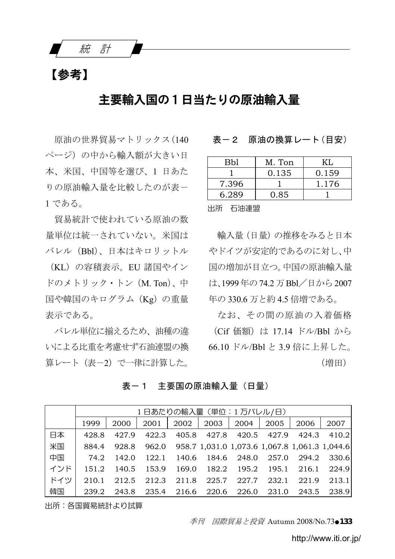統 計

# 【参考】

## 主要輸入国の1日当たりの原油輸入量

原油の世界貿易マトリックス(140 ページ)の中から輸入額が大きい日 本、米国、中国等を選び、1 日あた りの原油輸入量を比較したのが表ー 1 である。

貿易統計で使われている原油の数 量単位は統一されていない。米国は バレル(Bbl)、日本はキロリットル

(KL)の容積表示。EU 諸国やイン ドのメトリック・トン(M. Ton)、中 国や韓国のキログラム(Kg)の重量 表示である。

バレル単位に揃えるため、油種の違 いによる比重を考慮せず石油連盟の換 算レート(表-2)で一律に計算した。

#### 表ー2 原油の換算レート(目安)

| Bbl   | M. Ton | KL.   |
|-------|--------|-------|
|       | 0.135  | 0.159 |
| 7.396 |        | 1.176 |
| 6.289 | 0.85   |       |

出所 石油連盟

輸入量(日量)の推移をみると日本 やドイツが安定的であるのに対し、中 国の増加が目立つ。中国の原油輸入量 は、1999年の74.2万Bbl/日から2007 年の 330.6 万と約 4.5 倍増である。

なお、その間の原油の入着価格 (Cif 価額)は 17.14 ドル/Bbl から 66.10 ドル/Bbl と 3.9 倍に上昇した。 (増田)

表ー1 主要国の原油輸入量 (日量)

|     | 1日あたりの輸入量 (単位:1万バレル/日) |       |       |             |             |                                                     |                         |       |             |  |  |
|-----|------------------------|-------|-------|-------------|-------------|-----------------------------------------------------|-------------------------|-------|-------------|--|--|
|     | 1999                   | 2000  | 2001  | 2002 l      |             | 2003   2004                                         | 2005                    | 2006  | 2007        |  |  |
| 日本  | 428.8                  | 427.9 | 422.3 |             |             | 405.8 427.8 420.5 427.9                             |                         | 424.3 | 410.2       |  |  |
| 米国  | 884.4                  | 928.8 |       |             |             | 962.0 958.7 1,031.0 1,073.6 1,067.8 1,061.3 1,044.6 |                         |       |             |  |  |
| 中国  | 74.2                   | 142.0 | 122.1 |             |             | 140.6 184.6 248.0 257.0                             |                         |       | 294.2 330.6 |  |  |
| インド | 151.2                  | 140.5 | 153.9 |             | 169.0 182.2 |                                                     | 195.2 195.1 216.1 224.9 |       |             |  |  |
| ドイツ | 210.1                  | 212.5 | 212.3 |             |             | 211.8 225.7 227.7                                   | 232.1                   | 221.9 | 213.1       |  |  |
| 韓国  | 239.2                  | 243.8 |       | 235.4 216.6 | 220.6       | 226.0                                               | 231.0                   | 243.5 | 238.9       |  |  |

出所:各国貿易統計より試算

季刊 国際貿易と投資 Autumn 2008/No.73●133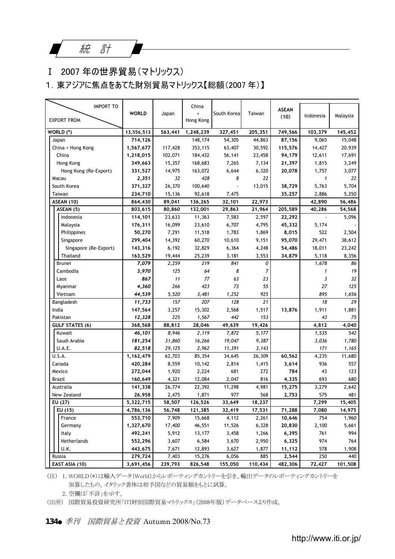## Ⅰ 2007 年の世界貿易(マトリックス)

1.東アジアに焦点をあてた財別貿易マトリックス【総額(2007 年)】

| <b>IMPORT TO</b>       | <b>WORLD</b> | Japan   | China     | South Korea | Taiwan         | <b>ASEAN</b><br>(10) | Indonesia    | Malaysia |
|------------------------|--------------|---------|-----------|-------------|----------------|----------------------|--------------|----------|
| <b>EXPORT FROM</b>     |              |         | Hong Kong |             |                |                      |              |          |
| WORLD (*)              | 13,556,513   | 563.441 | 1,248,239 | 327,451     | 205,351        | 749,566              | 103,379      | 145,452  |
| Japan                  | 714,126      |         | 148,174   | 54,305      | 44,863         | 87,156               | 9,065        | 15,048   |
| China + Hong Kong      | 1,567,677    | 117,428 | 353,115   | 63,407      | 30,592         | 115,576              | 14,427       | 20,939   |
| China                  | 1,218,015    | 102,071 | 184,432   | 56,141      | 23,458         | 94,179               | 12,611       | 17,691   |
| Hong Kong              | 349,663      | 15,357  | 168,683   | 7,265       | 7,134          | 21,397               | 1,815        | 3,249    |
| Hong Kong (Re-Export)  | 331,527      | 14,975  | 163,072   | 6,644       | 6,320          | 20,078               | 1,757        | 3,077    |
| Macau                  | 2,351        | 32      | 428       | 8           | 22             |                      | $\mathbf{1}$ | 22       |
| South Korea            | 371,327      | 26,370  | 100,640   | ä,          | 13,015         | 38,729               | 5,763        | 5.704    |
| Taiwan                 | 234,710      | 15,136  | 92,618    | 7,475       |                | 35,257               | 2,886        | 5,250    |
| ASEAN (10)             | 864,430      | 89,041  | 136,265   | 32,101      | 22,973         |                      | 42,890       | 56,486   |
| ASEAN (5)              | 803,615      | 80,860  | 132,001   | 29,863      | 21,964         | 205,589              | 40,286       | 54,568   |
| Indonesia              | 114,101      | 23,633  | 11,363    | 7,583       | 2,597          | 22,292               |              | 5,096    |
| Malaysia               | 176,311      | 16,099  | 23,610    | 6,707       | 4,795          | 45,332               | 5,174        |          |
| Philippines            | 50,270       | 7,291   | 11,518    | 1,783       | 1,869          | 8,015                | 522          | 2,504    |
| Singapore              | 299,404      | 14,392  | 60,270    | 10,610      | 9,151          | 95,070               | 29,471       | 38,612   |
| Singapore (Re-Export)  | 143,316      | 6,192   | 32,829    | 6,364       | 4,248          | 54,486               | 18,011       | 23,242   |
| Thailand               | 163,529      | 19,444  | 25,239    | 3,181       | 3,553          | 34,879               | 5,118        | 8,356    |
| Brunei                 | 7,079        | 2,259   | 219       | 841         | 0              |                      | 1,678        | 86       |
| Cambodia               | 3,970        | 125     | 64        | 8           | $\overline{7}$ |                      | $\mathbf{1}$ | 19       |
| Laos                   | 867          | 11      | 77        | 63          | 23             |                      | 3            | 32       |
| Myanmar                | 4,360        | 266     | 423       | 73          | 55             |                      | 27           | 125      |
| Vietnam                | 44,539       | 5.520   | 3.481     | 1.252       | 925            |                      | 895          | 1.656    |
| Bangladesh             | 11,733       | 157     | 207       | 128         | 21             |                      | 18           | 29       |
| India                  | 147,564      | 3,257   | 15,302    | 2,568       | 1,517          | 13,876               | 1,911        | 1,881    |
| Pakistan               | 12,328       | 225     | 1,567     | 442         | 153            |                      | 43           | 75       |
| <b>GULF STATES (6)</b> | 368,568      | 88,812  | 28,046    | 49,639      | 19,426         |                      | 4,812        | 4,040    |
| Kuwait                 | 46,101       | 8,946   | 2,119     | 7,872       | 5,177          |                      | 1,535        | 542      |
| Saudi Arabia           | 181,254      | 31,860  | 16,266    | 19,047      | 9,387          |                      | 3,036        | 1,780    |
| U.A.E.                 | 82,518       | 29,125  | 2.962     | 11,391      | 3.143          |                      | 171          | 1,165    |
| U.S.A.                 | 1,162,479    | 62,703  | 85,354    | 34,645      | 26,309         | 60,562               | 4,235        | 11,680   |
| Canada                 | 420,284      | 8,559   | 10,142    | 2,814       | 1,415          | 3,614                | 936          | 557      |
| Mexico                 | 272,044      | 1,920   | 2,224     | 681         | 272            | 784                  | 43           | 123      |
| Brazil                 | 160,649      | 4,321   | 12,084    | 2,047       | 816            | 4,335                | 693          | 680      |
| Australia              | 141,338      | 26,774  | 22,392    | 11,298      | 4,981          | 15,275               | 3,279        | 2,642    |
| New Zealand            | 26,958       | 2,475   | 1,871     | 977         | 568            | 2,753                | 575          | 481      |
| EU (27)                | 5,322,715    | 58,507  | 126,526   | 33,649      | 18,237         |                      | 7,299        | 15,405   |
| EU (15)                | 4,786,136    | 56,748  | 121,385   | 32,419      | 17,531         | 71,288               | 7,080        | 14,975   |
| France                 | 553,710      | 7,909   | 15,668    | 4,112       | 2,261          | 10,646               | 754          | 1,960    |
| Germany                | 1,327,670    | 17,400  | 46,551    | 11,526      | 6,328          | 20,830               | 2,100        | 5,661    |
| Italy                  | 492,241      | 5,912   | 13,177    | 3,458       | 1,266          | 6,395                | 761          | 994      |
| Netherlands            | 552,296      | 3,607   | 6,584     | 3,670       | 2,950          | 6,325                | 974          | 764      |
| U.K.                   | 443,675      | 7,671   | 12,893    | 3,627       | 1,877          | 11,112               | 578          | 1,908    |
| Russia                 | 279,724      | 7,403   | 15,276    | 6,056       | 885            | 2,544                | 250          | 440      |
| EAST ASIA (10)         | 3,691,456    | 239,793 | 826,548   | 155,050     | 110.434        | 482,306              | 72.427       | 101.508  |

(注) 1.WORLD(\*)は輸入データ(World)からレポーティングカントリーを引き、輸出データのレポーティングカントリーを 加算したもの。イタリック書体は相手国などの貿易額をもとに試算。

2.空欄は「不詳」を示す。

(出所) 国際貿易投資研究所「ITI財別国際貿易マトリックス」(2008年版)データベースより作成。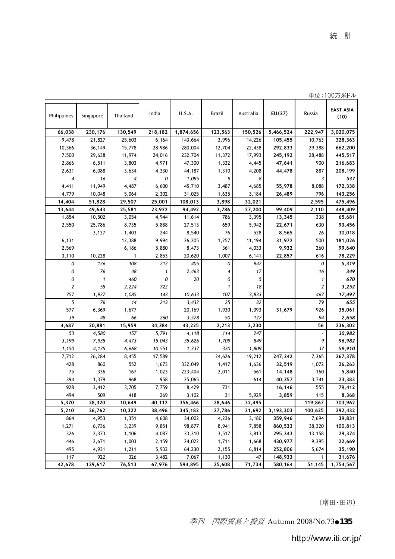|                |                     |                |                |                  |                |                |                    |                         | 単位:100万米ドル               |
|----------------|---------------------|----------------|----------------|------------------|----------------|----------------|--------------------|-------------------------|--------------------------|
| Philippines    | Singapore           | Thailand       | India          | U.S.A.           | Brazil         | Australia      | EU(27)             | Russia                  | <b>EAST ASIA</b><br>(10) |
| 66,038         | 230,176             | 130,549        | 218,182        | 1,874,656        | 123,563        | 150,526        | 5,466,524          | 222,947                 | 3,020,075                |
| 9,478          | 21,827              | 25,603         | 6,164          | 143,664          | 3,996          | 14,226         | 105,455            | 10,763                  | 328,363                  |
| 10,366         | 36,149              | 15,778         | 28,986         | 280,004          | 12,704         | 22,438         | 292,833            | 29,388                  | 662,200                  |
| 7,500          | 29,638              | 11,974         | 24,016         | 232,704          | 11,372         | 17,993         | 245,192            | 28,488                  | 445,517                  |
| 2,866          | 6,511               | 3,803          | 4,971          | 47,300           | 1,332          | 4,445          | 47,641             | 900                     | 216,683                  |
| 2,631          | 6,088               | 3,634          | 4,330          | 44,187           | 1,310          | 4,208          | 44,478             | 887                     | 208,199                  |
| $\overline{4}$ | 16                  | $\overline{4}$ | 0              | 1,095            | 9              | 8              |                    | 3                       | 537                      |
| 4,411          | 11,949              | 4,487          | 6,600          | 45,710           | 3,487          | 4,685          | 55,978             | 8,088                   | 172,338                  |
| 4,779          | 10,048              | 5,064          | 2,302          | 31,025           | 1,635          | 3,184          | 26,489             | 796                     | 143,256                  |
| 14,404         | 51,828              | 29,507         | 25,001         | 108,013          | 3,898          | 32,021         |                    | 2,595                   | 475,496                  |
| 13,644         | 49,643              | 25,581         | 23,922         | 94,492           | 3,786          | 27,200         | 99,409             | 2,110                   | 448,409                  |
| 1,854          | 10,502              | 3,054          | 4,944          | 11,614           | 786            | 3,395          | 13,345             | 338                     | 65,681                   |
| 2,550          | 25,786              | 8,735          | 5,888          | 27,513           | 659            | 5,942          | 22,671             | 630                     | 93,456                   |
|                | 3,127               | 1,403          | 244            | 8,540            | 76             | 528            | 8,565              | 26                      | 30,018                   |
| 6,131          |                     | 12,388         | 9,994          | 26,205           | 1,257          | 11,194         | 31,972             | 500                     | 181,026                  |
| 2,569          |                     | 6,186          | 5,880          | 8,473            | 361            | 4,033          | 9,932              | 260                     | 99,640                   |
| 3,110          | 10,228              | 1              | 2,853          | 20,620           | 1,007          | 6,141          | 22,857             | 616                     | 78,229                   |
| 0              | 126                 | 108            | 212            | 405              | 0              | 947            |                    | 0                       | 5,319                    |
| 0              | 76                  | 48             | $\mathbf{1}$   | 2,463            | $\overline{4}$ | 17             |                    | 16                      | 349                      |
| 0              | $\pmb{\mathcal{I}}$ | 460            | 0              | 20               | 0              | 5              |                    | 1                       | 670                      |
| $\overline{2}$ | 55                  | 2,224          | 722            |                  | $\mathbf{1}$   | 18             |                    | $\overline{\mathbf{c}}$ | 3,252                    |
| 757            | 1,927               | 1,085          | 143            | 10,633           | 107            | 3,833          |                    | 467                     | 17,497                   |
| 5              | 76                  | 14             | 213            | 3,432            | 25             | 32             |                    | 79                      | 655                      |
| 577            | 6,369               | 1,677          |                | 20,169           | 1,930          | 1,093          | 31,679             | 926                     | 35,061                   |
| 39             | 48                  | 66             | 260            | 3,578            | 50             | 127            |                    | 94                      | 2,658                    |
| 4,687          | 20,881              | 15,959         | 34,384         | 43,225           | 2,213          | 3,230          |                    | 56                      | 236,302                  |
| 53             | 4,580               | 157            | 5,791          | 4,118            | 114            | 247            |                    | ł,                      | 30,982                   |
| 3,199          | 7,935               | 4,473          | 15,043         | 35,626           | 1,709          | 849            |                    | 9                       | 96,982                   |
| 1,150          | 4,135               | 6,668          | 10,551         | 1,337            | 320            | 1,809          |                    | 37                      | 59,910                   |
| 7,712          | 26,284              | 8,455          | 17,589         |                  | 24,626         | 19,212         | 247,242            | 7,365                   | 267,378                  |
| 428            | 860                 | 552            | 1,673          | 332,049          | 1,417          | 1,636          | 32,519             | 1,072                   | 26,263                   |
| 75             | 336                 | 167            | 1,023          | 223,404          | 2,011          | 561            | 14,148             | 160                     | 5,840                    |
| 394            | 1,379               | 968            | 958            | 25,065           |                | 614            | 40,357             | 3,741                   | 23,383                   |
| 928            | 3,412               | 3,705          | 7.759          | 8,429            | 731            |                | 16,146             | 555                     | 79,412                   |
| 494            | 509                 | 418            | 269            | 3,102            | 31             | 5,929          | 3,859              | 115                     | 8,368                    |
| 5,370          | 28,320              | 10,649         | 40,112         | 356,466          | 28,646         | 32,495         |                    | 119,867                 | 303,962                  |
| 5,210          | 26,762              | 10,322         | 38,496         | 345,182          | 27,786         | 31,692         | 3,193,303          | 100,625                 | 292,432                  |
| 864            | 4,953               | 1,351          | 4,608          | 34,002           | 4,236          | 3,180          | 359,946            | 7,694                   | 39,831                   |
| 1,271          | 6,736               | 3,239          | 9,851          | 98,877           | 8,941          | 7,858          | 860,533            | 38,320                  | 100,813                  |
| 326            | 2,373               | 1,106          | 4,087          | 33,310           | 3,517          | 3,813          | 295,343            | 13,158                  | 29,374                   |
| 446<br>495     | 2,671               | 1,003<br>1,211 | 2,159<br>5,932 | 24,022<br>64,230 | 1,711<br>2,155 | 1,668<br>6,814 | 430,977<br>252,806 | 9,395<br>5,674          | 22,669                   |
| 117            | 4,931<br>922        | 326            | 3,482          | 7,067            | 1,130          | 47             | 148,933            | 1                       | 35,190<br>31,676         |
| 42,678         | 129,617             | 76,513         | 67,976         | 594,895          | 25,608         | 71,734         | 580,164            | 51,145                  | 1,754,567                |
|                |                     |                |                |                  |                |                |                    |                         |                          |

(増田・田辺)

季刊 国際貿易と投資 Autumn 2008/No.73●135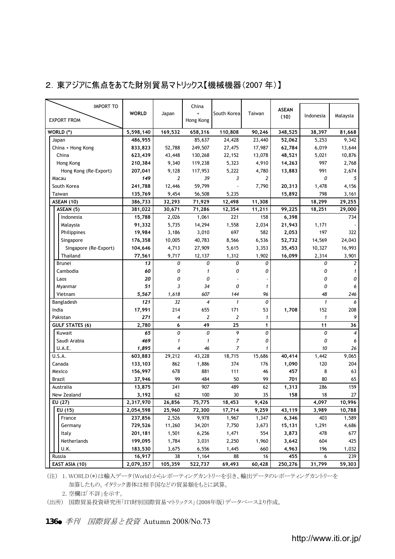#### 2.東アジアに焦点をあてた財別貿易マトリックス【機械機器(2007 年)】

| <b>IMPORT TO</b>       |              |                | China              |                |              | <b>ASEAN</b> |              |                    |
|------------------------|--------------|----------------|--------------------|----------------|--------------|--------------|--------------|--------------------|
|                        | <b>WORLD</b> | Japan          |                    | South Korea    | Taiwan       | (10)         | Indonesia    | Malaysia           |
| <b>EXPORT FROM</b>     |              |                | Hong Kong          |                |              |              |              |                    |
| WORLD (*)              | 5,598,140    | 169.532        | 658,316            | 110,808        | 90.246       | 348.525      | 38.397       | 81,668             |
| Japan                  | 486,955      |                | 85.637             | 24,428         | 23,440       | 52,062       | 5.253        | 9.342              |
| China + Hong Kong      | 833,823      | 52,788         | 249,507            | 27,475         | 17,987       | 62,784       | 6,019        | 13,644             |
| China                  | 623,439      | 43,448         | 130,268            | 22.152         | 13,078       | 48,521       | 5,021        | 10,876             |
|                        |              | 9,340          |                    |                |              |              | 997          |                    |
| Hong Kong              | 210,384      |                | 119,238            | 5,323          | 4,910        | 14,263       |              | 2,768              |
| Hong Kong (Re-Export)  | 207,041      | 9,128          | 117,953            | 5,222          | 4,780        | 13,883       | 991          | 2,674              |
| Macau                  | 149          | $\overline{2}$ | 39                 | 3              | 2            |              | 0            | 5                  |
| South Korea            | 241,788      | 12,446         | 59,799             |                | 7.790        | 20,313       | 1,478        | 4,156              |
| Taiwan                 | 135,769      | 9,454          | 56,508             | 5,235          |              | 15,892       | 798          | 3,161              |
| ASEAN (10)             | 386,733      | 32,293         | 71,929             | 12,498         | 11,308       |              | 18,299       | 29,255             |
| ASEAN (5)              | 381,022      | 30,671         | 71,286             | 12,354         | 11,211       | 99.225       | 18,251       | 29,000             |
| Indonesia              | 15,788       | 2,026          | 1,061              | 221            | 158          | 6,398        |              | 734                |
| Malaysia               | 91,332       | 5,735          | 14,294             | 1.558          | 2.034        | 21,943       | 1.171        |                    |
| Philippines            | 19,984       | 3,186          | 3,010              | 697            | 582          | 2,053        | 197          | 322                |
| Singapore              | 176,358      | 10,005         | 40,783             | 8.566          | 6,536        | 52,732       | 14,569       | 24,043             |
| Singapore (Re-Export)  | 104,646      | 4,713          | 27,909             | 5,615          | 3,353        | 35.453       | 10,327       | 16,993             |
| Thailand               | 77,561       | 9,717          | 12,137             | 1,312          | 1,902        | 16,099       | 2,314        | 3,901              |
| Brunei                 | 13           | 0              | 0                  | 0              | 0            |              | 0            | 2                  |
| Cambodia               | 60           | 0              | $\mathbf{1}$       | 0              | 0            |              | 0            | 1                  |
| Laos                   | 20           | 0              | 0                  |                |              |              | 0            | 0                  |
| Myanmar                | 51           | 3              | 34                 | 0              | $\mathbf{1}$ |              | 0            | 6                  |
| Vietnam                | 5.567        | 1.618          | 607                | 144            | 96           |              | 48           | 246                |
| Bangladesh             | 121          | 32             | $\overline{\bf 4}$ | $\mathbf{1}$   | 0            |              | $\mathbf{1}$ | 6                  |
| India                  | 17,991       | 214            |                    | 171            |              | 1,708        | 152          | 208                |
|                        |              |                | 655                |                | 53           |              |              |                    |
| Pakistan               | 271          | $\overline{4}$ | $\overline{2}$     | $\overline{2}$ | $\mathbf{1}$ |              | $\mathbf{1}$ | 9                  |
| <b>GULF STATES (6)</b> | 2.780        | 6              | 49                 | 25             | 1            |              | 11           | 36                 |
| Kuwait                 | 65           | 0              | 0                  | 9              | $\theta$     |              | 0            | $\overline{\bf 4}$ |
| Saudi Arabia           | 469          | $\mathbf{1}$   | $\mathbf{1}$       | $\overline{7}$ | 0            |              | 0            | 6                  |
| U.A.E.                 | 1,895        | $\overline{4}$ | 46                 | 7              | 1            |              | 10           | 26                 |
| U.S.A.                 | 603,883      | 29,212         | 43,228             | 18,715         | 15,686       | 40,414       | 1,442        | 9,065              |
| Canada                 | 133,103      | 862            | 1,886              | 374            | 176          | 1,090        | 120          | 204                |
| Mexico                 | 156,997      | 678            | 881                | 111            | 46           | 457          | 8            | 63                 |
| Brazil                 | 37,946       | 99             | 484                | 50             | 99           | 701          | 80           | 65                 |
| Australia              | 13,875       | 241            | 907                | 489            | 62           | 1,313        | 286          | 159                |
| New Zealand            | 3,192        | 62             | 100                | 30             | 35           | 158          | 18           | 27                 |
| EU (27)                | 2,317,970    | 26.856         | 75.775             | 18,453         | 9,426        |              | 4.097        | 10.996             |
| EU (15)                | 2,054,598    | 25,960         | 72.300             | 17,714         | 9,259        | 43,119       | 3,989        | 10.788             |
| France                 | 237,856      | 2,526          | 9,978              | 1,967          | 1.347        | 6,346        | 403          | 1.589              |
| Germany                | 729,526      | 11,260         | 34,201             | 7,750          | 3.673        | 15,131       | 1.291        | 4,686              |
| Italy                  | 201,181      | 1,501          | 6,256              | 1,471          | 554          | 3,873        | 478          | 677                |
| Netherlands            | 199,095      | 1,784          | 3,031              | 2,250          | 1,960        | 3,642        | 604          | 425                |
| U.K.                   | 183,530      | 3,675          | 6,556              | 1,445          | 660          | 4,963        | 196          | 1,032              |
| Russia                 | 16,917       | 38             | 1,164              | 88             | 16           | 455          | 6            | 239                |
|                        |              |                |                    |                |              |              |              |                    |
| EAST ASIA (10)         | 2,079,357    | 105,359        | 522,737            | 69,493         | 60,428       | 250,276      | 31,799       | 59,303             |

(注) 1.WORLD(\*)は輸入データ(World)からレポーティングカントリーを引き、輸出データのレポーティングカントリーを 加算したもの。イタリック書体は相手国などの貿易額をもとに試算。

2.空欄は「不詳」を示す。

(出所) 国際貿易投資研究所「ITI財別国際貿易マトリックス」(2008年版)データベースより作成。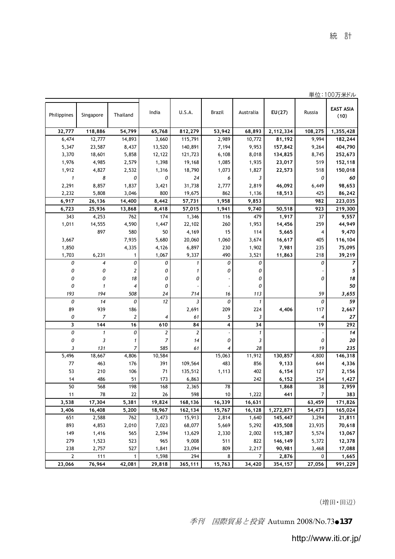|                |              |        |              |           |                    | 単位:100万米ドル               |
|----------------|--------------|--------|--------------|-----------|--------------------|--------------------------|
| India          | U.S.A.       | Brazil | Australia    | EU(27)    | Russia             | <b>EAST ASIA</b><br>(10) |
| 65,768         | 812,279      | 53,942 | 68,893       | 2,112,334 | 108,275            | 1,355,428                |
| 3,660          | 115,791      | 2,989  | 10,772       | 81,192    | 9.994              | 182,244                  |
| 13,520         | 140,891      | 7,194  | 9,953        | 157,842   | 9,264              | 404,790                  |
| 12,122         | 121,723      | 6,108  | 8,018        | 134,825   | 8,745              | 252,673                  |
| 1,398          | 19,168       | 1,085  | 1,935        | 23,017    | 519                | 152,118                  |
| 1,316          | 18,790       | 1,073  | 1,827        | 22,573    | 518                | 150,018                  |
| 0              | 24           | 6      | 3            |           | 0                  | 60                       |
| 3,421          | 31,738       | 2,777  | 2,819        | 46,092    | 6,449              | 98,653                   |
| 800            | 19,675       | 862    | 1,136        | 18,513    | 425                | 86,242                   |
| 8,442          | 57,731       | 1,958  | 9,853        |           | 982                | 223,035                  |
| 8,418          | 57,015       | 1,941  | 9,740        | 50,518    | 923                | 219,300                  |
| 174            | 1,346        | 116    | 479          | 1,917     | 37                 | 9,557                    |
| 1,447          | 22,102       | 260    | 1,953        | 14,456    | 259                | 44,949                   |
| 50             | 4,169        | 15     | 114          | 5,665     | 4                  | 9,470                    |
| 5,680          | 20,060       | 1,060  | 3,674        | 16,617    | 405                | 116,104                  |
| 4,126          | 6,897        | 230    | 1,902        | 7,981     | 235                | 75,095                   |
| 1,067          | 9,337        | 490    | 3,521        | 11,863    | 218                | 39,219                   |
| 0              | $\mathbf{1}$ | 0      | 0            |           | 0                  | $\overline{z}$           |
| 0              | 1            | 0      | 0            |           |                    | 5                        |
| 0              | 0            |        | 0            |           | 0                  | 18                       |
| 0              |              |        | 0            |           |                    | 50                       |
| 24             | 714          | 16     | 113          |           | 59                 | 3,655                    |
| 12             | 3            | 0      | $\mathbf{1}$ |           | 0                  | 59                       |
|                | 2,691        | 209    | 224          | 4,406     | 117                | 2,667                    |
| $\overline{4}$ | 61           | 5      | 3            |           | $\overline{\bf 4}$ | 27                       |

| 1,355,428 | 108,275        | 2,112,334 | 68,893         | 53,942 | 812,279                 | 65,768 | 54,799                  | 118,886             | 32,777         |
|-----------|----------------|-----------|----------------|--------|-------------------------|--------|-------------------------|---------------------|----------------|
| 182,244   | 9,994          | 81,192    | 10,772         | 2,989  | 115,791                 | 3,660  | 14,893                  | 12,777              | 6,474          |
| 404,790   | 9,264          | 157,842   | 9,953          | 7,194  | 140,891                 | 13,520 | 8,437                   | 23,587              | 5,347          |
| 252,673   | 8,745          | 134,825   | 8,018          | 6,108  | 121,723                 | 12,122 | 5,858                   | 18,601              | 3,370          |
| 152,118   | 519            | 23,017    | 1,935          | 1,085  | 19,168                  | 1,398  | 2,579                   | 4,985               | 1,976          |
| 150,018   | 518            | 22,573    | 1,827          | 1,073  | 18,790                  | 1,316  | 2,532                   | 4,827               | 1,912          |
| 60        | 0              |           | 3              | 6      | 24                      | 0      | 0                       | 8                   | $\mathbf{1}$   |
| 98,653    | 6,449          | 46,092    | 2,819          | 2,777  | 31,738                  | 3,421  | 1,837                   | 8,857               | 2,291          |
| 86,242    | 425            | 18,513    | 1,136          | 862    | 19,675                  | 800    | 3,046                   | 5,808               | 2,232          |
| 223,035   | 982            |           | 9,853          | 1,958  | 57,731                  | 8,442  | 14,400                  | 26,136              | 6,917          |
| 219,300   | 923            | 50,518    | 9,740          | 1,941  | 57,015                  | 8,418  | 13,868                  | 25,936              | 6,723          |
| 9,557     | 37             | 1,917     | 479            | 116    | 1,346                   | 174    | 762                     | 4,253               | 343            |
| 44,949    | 259            | 14,456    | 1,953          | 260    | 22,102                  | 1,447  | 4,590                   | 14,555              | 1,011          |
| 9,470     | $\overline{4}$ | 5,665     | 114            | 15     | 4,169                   | 50     | 580                     | 897                 |                |
| 116,104   | 405            | 16,617    | 3,674          | 1,060  | 20,060                  | 5,680  | 7,935                   |                     | 3,667          |
| 75,095    | 235            | 7,981     | 1,902          | 230    | 6,897                   | 4,126  | 4,335                   |                     | 1,850          |
| 39,219    | 218            | 11,863    | 3,521          | 490    | 9,337                   | 1,067  | 1                       | 6,231               | 1,703          |
| 7         | 0              |           | 0              | 0      | 1                       | 0      | 0                       | 4                   | 0              |
| 5         |                |           | 0              | 0      | 1                       | 0      | 2                       | 0                   | 0              |
| 18        | 0              |           | 0              |        | 0                       | 0      | 18                      | 0                   | 0              |
| 50        |                |           | 0              |        |                         | 0      | $\overline{4}$          | $\mathbf{1}$        | 0              |
| 3,655     | 59             |           | 113            | 16     | 714                     | 24     | 508                     | 194                 | 193            |
| 59        | 0              |           | 1              | 0      | 3                       | 12     | 0                       | 14                  | 0              |
| 2,667     | 117            | 4,406     | 224            | 209    | 2,691                   |        | 186                     | 939                 | 89             |
| 27        | $\overline{4}$ |           | 3              | 5      | 61                      | 4      | $\overline{\mathbf{c}}$ | $\boldsymbol{7}$    | 0              |
| 292       | 19             |           | 34             | 4      | 84                      | 610    | 16                      | 144                 | 3              |
| 14        |                |           | $\mathbf{1}$   | i,     | $\overline{\mathbf{c}}$ | 2      | 0                       | $\pmb{\mathcal{I}}$ | 0              |
| 20        | 0              |           | 3              | 0      | 14                      | 7      | $\mathbf{1}$            | 3                   | 0              |
| 235       | 19             |           | 28             | 4      | 61                      | 585    | $\overline{7}$          | 131                 | 3              |
| 146,318   | 4,800          | 130,857   | 11,912         | 15,063 |                         | 10,584 | 4,806                   | 18,667              | 5,496          |
| 4,336     | 644            | 9,133     | 856            | 483    | 109,564                 | 391    | 176                     | 463                 | 77             |
| 2,156     | 127            | 6,154     | 402            | 1,113  | 135,512                 | 71     | 106                     | 210                 | 53             |
| 1,427     | 254            | 6,152     | 242            |        | 6,863                   | 173    | 51                      | 486                 | 14             |
| 2,959     | 38             | 1,868     |                | 78     | 2,365                   | 168    | 198                     | 568                 | 50             |
| 383       | 7              | 441       | 1,222          | 10     | 598                     | 26     | 22                      | 78                  | 11             |
| 171,826   | 63,459         |           | 16,631         | 16,339 | 168,136                 | 19,824 | 5,381                   | 17,304              | 3,538          |
| 165,024   | 54,473         | 1,272,871 | 16,128         | 15,767 | 162,134                 | 18,967 | 5,200                   | 16,408              | 3,406          |
| 21,811    | 3,294          | 145,447   | 1,640          | 2,814  | 15,913                  | 3,473  | 762                     | 2,588               | 651            |
| 70,618    | 23,935         | 435,508   | 5,292          | 5,669  | 68,077                  | 7,023  | 2,010                   | 4,853               | 893            |
| 13,067    | 5,574          | 115,387   | 2,002          | 2,330  | 13,629                  | 2,594  | 565                     | 1,416               | 149            |
| 12,378    | 5,372          | 146,149   | 822            | 511    | 9,008                   | 965    | 523                     | 1,523               | 279            |
| 17,088    | 3,468          | 90,981    | 2,217          | 809    | 23,094                  | 1,841  | 527                     | 2,757               | 238            |
| 1,665     | $\Omega$       | 2,876     | $\overline{7}$ | 8      | 294                     | 1,598  | $\mathbf{1}$            | 111                 | $\overline{2}$ |

 **76,964 23,066 42,081 29,818 365,111 15,763 34,420 354,157 27,056 991,229**

Philippines Singapore Thailand

(増田・田辺)

季刊 国際貿易と投資 Autumn 2008/No.73●137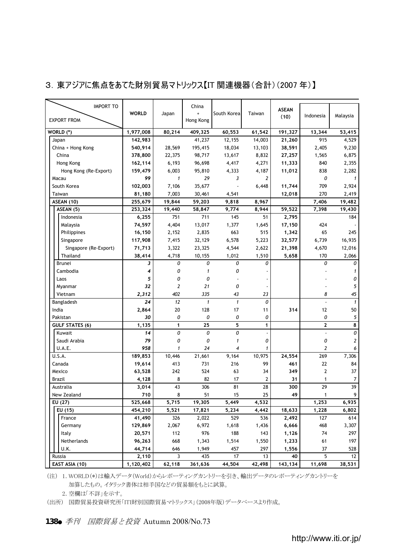| <b>IMPORT TO</b>       |              |              | China               |                |                | <b>ASEAN</b> |                |                |
|------------------------|--------------|--------------|---------------------|----------------|----------------|--------------|----------------|----------------|
|                        | <b>WORLD</b> | Japan        | ÷                   | South Korea    | Taiwan         | (10)         | Indonesia      | Malaysia       |
| <b>EXPORT FROM</b>     |              |              | Hong Kong           |                |                |              |                |                |
| WORLD (*)              | 1,977,008    | 80,214       | 409,325             | 60,553         | 61,542         | 191,327      | 13,344         | 53,415         |
| Japan                  | 142,983      |              | 41,237              | 12,155         | 14,003         | 21,260       | 915            | 4,529          |
| China + Hong Kong      | 540,914      | 28,569       | 195,415             | 18,034         | 13,103         | 38,591       | 2,405          | 9,230          |
| China                  | 378,800      | 22,375       | 98,717              | 13,617         | 8,832          | 27,257       | 1,565          | 6,875          |
| Hong Kong              | 162,114      | 6,193        | 96,698              | 4,417          | 4,271          | 11,333       | 840            | 2,355          |
| Hong Kong (Re-Export)  | 159,479      | 6,003        | 95,810              | 4,333          | 4,187          | 11,012       | 838            | 2,282          |
|                        | 99           | $\mathbf{1}$ | 29                  | 3              |                |              | 0              | $\mathbf{1}$   |
| Macau                  |              |              |                     |                | 2              |              |                |                |
| South Korea            | 102,003      | 7,106        | 35,677              |                | 6,448          | 11,744       | 709            | 2,924          |
| Taiwan                 | 81,180       | 7,003        | 30,461              | 4,541          |                | 12,018       | 270            | 2,419          |
| ASEAN (10)             | 255,679      | 19,844       | 59,203              | 9,818          | 8,967          |              | 7,406          | 19.482         |
| ASEAN (5)              | 253,324      | 19,440       | 58,847              | 9,774          | 8,944          | 59,522       | 7,398          | 19,430         |
| Indonesia              | 6,255        | 751          | 711                 | 145            | 51             | 2,795        |                | 184            |
| Malaysia               | 74,597       | 4,404        | 13,017              | 1,377          | 1,645          | 17,150       | 424            |                |
| Philippines            | 16,150       | 2,152        | 2,835               | 663            | 515            | 1,342        | 65             | 245            |
| Singapore              | 117,908      | 7,415        | 32,129              | 6,578          | 5,223          | 32,577       | 6,739          | 16,935         |
| Singapore (Re-Export)  | 71,713       | 3,322        | 23,325              | 4,544          | 2,622          | 21,398       | 4,670          | 12,016         |
| Thailand               | 38,414       | 4,718        | 10,155              | 1,012          | 1,510          | 5,658        | 170            | 2,066          |
| Brunei                 | 3            | 0            | 0                   | 0              | 0              |              | 0              | 0              |
| Cambodia               | 4            | 0            | $\pmb{\mathcal{I}}$ | 0              |                |              |                | $\mathbf{1}$   |
| Laos                   | 5            | 0            | 0                   |                |                |              |                | 0              |
| Myanmar                | 32           | 2            | 21                  | 0              |                |              |                | 5              |
| Vietnam                | 2,312        | 402          | 335                 | 43             | 23             |              | 8              | 45             |
| Bangladesh             | 24           | 12           | $\mathbf{1}$        | $\mathbf{1}$   | 0              |              |                | $\mathbf{1}$   |
| India                  | 2,864        | 20           | 128                 | 17             | 11             | 314          | 12             | 50             |
| Pakistan               | 30           | 0            | 0                   | 0              | 0              |              | 0              | 5              |
| <b>GULF STATES (6)</b> | 1,135        | $\mathbf{1}$ | 25                  | 5              | $\mathbf{1}$   |              | $\overline{2}$ | 8              |
| Kuwait                 | 14           | 0            | 0                   | 0              |                |              | i,             | 0              |
| Saudi Arabia           | 79           | 0            | 0                   | $\mathbf{1}$   | 0              |              | 0              | $\overline{2}$ |
|                        | 958          | $\mathbf{1}$ | 24                  | $\overline{4}$ | $\mathbf{1}$   |              | $\overline{2}$ | 6              |
| <b>U.A.E.</b>          |              |              |                     |                |                |              |                |                |
| U.S.A.                 | 189,853      | 10,446       | 21,661              | 9,164          | 10,975         | 24,554       | 269            | 7,306          |
| Canada                 | 19,614       | 413          | 731                 | 216            | 99             | 461          | 22             | 84             |
| Mexico                 | 63,528       | 242          | 524                 | 63             | 34             | 349          | $\overline{2}$ | 37             |
| <b>Brazil</b>          | 4,128        | 8            | 82                  | 17             | $\overline{2}$ | 31           | 1              | $\overline{7}$ |
| Australia              | 3,014        | 43           | 306                 | 81             | 28             | 300          | 29             | 39             |
| New Zealand            | 710          | 8            | 51                  | 15             | 25             | 49           | 1              | 9              |
| EU (27)                | 525,668      | 5,715        | 19,305              | 5,449          | 4,532          |              | 1,253          | 6,935          |
| EU (15)                | 454,210      | 5,521        | 17,821              | 5,234          | 4,442          | 18,633       | 1,228          | 6,802          |
| France                 | 41,490       | 326          | 2,022               | 529            | 536            | 2,492        | 127            | 614            |
| Germany                | 129,869      | 2,067        | 6,972               | 1,618          | 1,436          | 6,666        | 468            | 3,307          |
| Italy                  | 20,571       | 112          | 976                 | 188            | 143            | 1,126        | 74             | 297            |
| Netherlands            | 96,263       | 668          | 1,343               | 1,514          | 1,550          | 1,233        | 61             | 197            |
| U.K.                   | 44,714       | 646          | 1,949               | 457            | 297            | 1,556        | 37             | 528            |
| Russia                 | 2,110        | 3            | 435                 | 17             | 13             | 40           | 5              | 12             |
| EAST ASIA (10)         | 1,120,402    | 62.118       | 361.636             | 44.504         | 42.498         | 143.134      | 11.698         | 38.531         |

#### 3.東アジアに焦点をあてた財別貿易マトリックス【IT 関連機器(合計)(2007 年)】

(注) 1.WORLD(\*)は輸入データ(World)からレポーティングカントリーを引き、輸出データのレポーティングカントリーを 加算したもの。イタリック書体は相手国などの貿易額をもとに試算。

2.空欄は「不詳」を示す。

(出所) 国際貿易投資研究所「ITI財別国際貿易マトリックス」(2008年版)データベースより作成。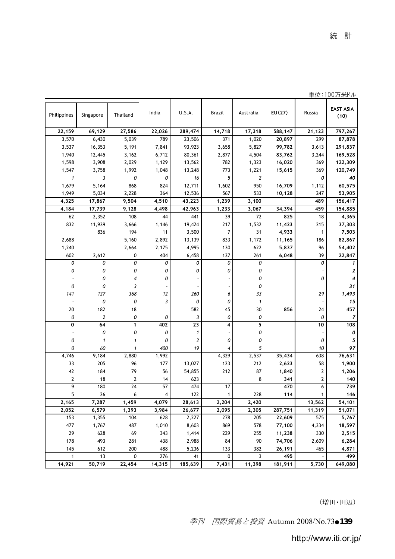|                |                  |                |                |                     |                |                  |         |              | 半1⊻・1 ∪∪刀 木トル            |
|----------------|------------------|----------------|----------------|---------------------|----------------|------------------|---------|--------------|--------------------------|
| Philippines    | Singapore        | Thailand       | India          | U.S.A.              | Brazil         | Australia        | EU(27)  | Russia       | <b>EAST ASIA</b><br>(10) |
| 22,159         | 69,129           | 27,586         | 22,026         | 289,474             | 14,718         | 17,318           | 588,147 | 21,123       | 797,267                  |
| 3,570          | 6,430            | 5,039          | 789            | 23,506              | 371            | 1,020            | 20,897  | 299          | 87,878                   |
| 3,537          | 16,353           | 5,191          | 7,841          | 93,923              | 3,658          | 5,827            | 99,782  | 3,613        | 291,837                  |
| 1,940          | 12,445           | 3,162          | 6,712          | 80,361              | 2,877          | 4,504            | 83,762  | 3,244        | 169,528                  |
| 1,598          | 3,908            | 2,029          | 1,129          | 13,562              | 782            | 1,323            | 16,020  | 369          | 122,309                  |
| 1,547          | 3,758            | 1,992          | 1,048          | 13,248              | 773            | 1,221            | 15,615  | 369          | 120,749                  |
| $\mathbf{1}$   | 3                | 0              | 0              | 16                  | 5              | $\boldsymbol{2}$ |         | 0            | 40                       |
| 1,679          | 5,164            | 868            | 824            | 12,711              | 1,602          | 950              | 16,709  | 1,112        | 60,575                   |
| 1,949          | 5,034            | 2,228          | 364            | 12,536              | 567            | 533              | 10,128  | 247          | 53,905                   |
| 4,325          | 17,867           | 9,504          | 4,510          | 43,223              | 1,239          | 3,100            |         | 489          | 156,417                  |
| 4,184          | 17,739           | 9,128          | 4,498          | 42,963              | 1,233          | 3,067            | 34,394  | 459          | 154,885                  |
| 62             | 2,352            | 108            | 44             | 441                 | 39             | 72               | 825     | 18           | 4,365                    |
| 832            | 11,939           | 3,666          | 1,146          | 19,424              | 217            | 1,532            | 11,423  | 215          | 37,303                   |
|                | 836              | 194            | 11             | 3,500               | $\overline{7}$ | 31               | 4,933   | 1            | 7,503                    |
| 2,688          |                  | 5,160          | 2,892          | 13,139              | 833            | 1,172            | 11,165  | 186          | 82,867                   |
| 1,240          |                  | 2,664          | 2,175          | 4,995               | 130            | 622              | 5,837   | 96           | 54,402                   |
| 602            | 2,612            | $\mathbf 0$    | 404            | 6,458               | 137            | 261              | 6,048   | 39           | 22,847                   |
| 0              | 0                | 0              | 0              | 0                   | 0              | 0                |         | 0            | 1                        |
| 0              | 0                | 0              | 0              | 0                   | 0              | 0                |         |              | 2                        |
|                | 0                | 4              | 0              |                     |                | 0                |         | 0            | 4                        |
| 0              | 0                | 3              |                |                     |                | 0                |         |              | 31                       |
| 141            | 127              | 368            | 12             | 260                 | 6              | 33               |         | 29           | 1,493                    |
| ł,             | 0                | 0              | 3              | 0                   | 0              | $\mathbf{1}$     |         |              | 15                       |
| 20             | 182              | 18             |                | 582                 | 45             | 30               | 856     | 24           | 457                      |
| 0              | $\boldsymbol{2}$ | 0              | 0              | 3                   | 0              | 0                |         | 0            | $\boldsymbol{7}$         |
| 0              | 64               | $\mathbf{1}$   | 402            | 23                  | 4              | 5                |         | 10           | 108                      |
| ä,             | 0                | 0              | 0              | $\pmb{\mathcal{I}}$ |                | 0                |         |              | 0                        |
| 0              | $\mathbf{1}$     | $\mathbf{1}$   | 0              | $\overline{2}$      | 0              | 0                |         | 0            | 5                        |
| 0              | 60               | 1              | 400            | 19                  | 4              | 5                |         | 10           | 97                       |
| 4,746          | 9,184            | 2,880          | 1,992          |                     | 4,329          | 2,537            | 35,434  | 638          | 76,631                   |
| 33             | 205              | 96             | 177            | 13,027              | 123            | 212              | 2,623   | 58           | 1,900                    |
| 42             | 184              | 79             | 56             | 54,855              | 212            | 87               | 1,840   | 2            | 1,206                    |
| $\overline{2}$ | 18               | $\overline{2}$ | 14             | 623                 |                | 8                | 341     | 2            | 140                      |
| $\overline{9}$ | 180              | 24             | 57             | 474                 | 17             |                  | 470     | 6            | 739                      |
| 5              | 26               | 6              | $\overline{4}$ | 122                 | $\mathbf{1}$   | 228              | 114     | $\mathbf{1}$ | 146                      |
| 2,165          | 7,287            | 1,459          | 4,079          | 28,613              | 2,204          | 2,420            |         | 13,562       | 54,101                   |
| 2,052          | 6,579            | 1,393          | 3,984          | 26,677              | 2,095          | 2,305            | 287,751 | 11,319       | 51,071                   |
| 153            | 1,355            | 104            | 628            | 2,227               | 278            | 205              | 22,609  | 575          | 5,767                    |
| 477            | 1,767            | 487            | 1,010          | 8,603               | 869            | 578              | 77,100  | 4,334        | 18,597                   |
| 29             | 628              | 69             | 343            | 1,414               | 229            | 255              | 11,238  | 330          | 2,515                    |
| 178            | 493              | 281            | 438            | 2,988               | 84             | 90               | 74,706  | 2,609        | 6,284                    |
| 145            | 612              | 200            | 488            | 5,236               | 133            | 382              | 26,191  | 465          | 4,871                    |
| $\mathbf{1}$   | 13               | $\mathbf 0$    | 276            | 41                  | 0              | 3                | 495     |              | 499                      |
| 14,921         | 50,719           | 22,454         | 14,315         | 185,639             | 7,431          | 11,398           | 181,911 | 5,730        | 649,080                  |

単位:100万米ドル

(増田・田辺)

季刊 国際貿易と投資 Autumn 2008/No.73●139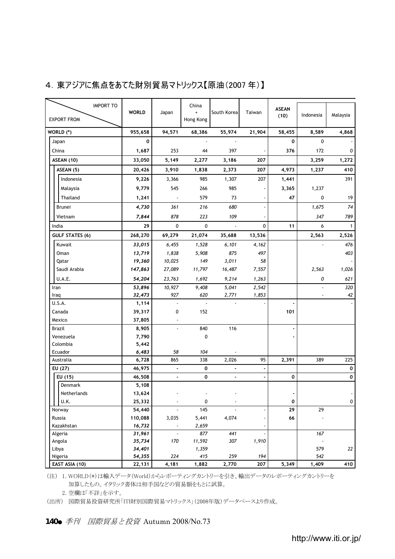### 4. 東アジアに焦点をあてた財別貿易マトリックス【原油(2007年)】

| <b>IMPORT TO</b><br><b>EXPORT FROM</b> | <b>WORLD</b>      | Japan                    | China<br>Hong Kong | South Korea | Taiwan      | <b>ASEAN</b><br>(10) | Indonesia | Malaysia     |
|----------------------------------------|-------------------|--------------------------|--------------------|-------------|-------------|----------------------|-----------|--------------|
|                                        |                   |                          |                    |             |             |                      |           |              |
| WORLD (*)                              | 955,658           | 94,571                   | 68,386             | 55,974      | 21,904      | 58,455               | 8,589     | 4,868        |
| Japan                                  | 0                 |                          |                    |             |             | 0                    | $\Omega$  |              |
| China                                  | 1,687             | 253                      | 44                 | 397         |             | 376                  | 172       | 0            |
| ASEAN (10)                             | 33,050            | 5,149                    | 2,277              | 3,186       | 207         |                      | 3,259     | 1,272        |
| ASEAN (5)                              | 20,426            | 3,910                    | 1,838              | 2,373       | 207         | 4,973                | 1,237     | 410          |
| Indonesia                              | 9,226             | 3,366                    | 985                | 1,307       | 207         | 1,441                |           | 391          |
| Malaysia                               | 9,779             | 545                      | 266                | 985         |             | 3,365                | 1,237     |              |
| Thailand                               | 1,241             | $\overline{\phantom{a}}$ | 579                | 73          |             | 47                   | 0         | 19           |
| Brunei                                 | 4,730             | 361                      | 216                | 680         | ٠           |                      | 1,675     | 74           |
| Vietnam                                | 7,844             | 878                      | 223                | 109         |             |                      | 347       | 789          |
| India                                  | 29                | $\mathbf 0$              | $\mathbf 0$        |             | $\mathbf 0$ | 11                   | 6         | $\mathbf{1}$ |
| <b>GULF STATES (6)</b>                 | 268,270           | 69,279                   | 21,074             | 35,688      | 13,536      |                      | 2,563     | 2,526        |
| Kuwait                                 | 33,015            | 6,455                    | 1,528              | 6,101       | 4,162       |                      |           | 476          |
| Oman                                   | 13,719            | 1,838                    | 5.908              | 875         | 497         |                      |           | 403          |
| Qatar                                  | 19,360            | 10,025                   | 149                | 3,011       | 58          |                      |           |              |
| Saudi Arabia                           | 147,863           | 27,089                   | 11,797             | 16,487      | 7,557       |                      | 2,563     | 1,026        |
| U.A.E.                                 | 54,204            | 23,763                   | 1,692              | 9,214       | 1,263       |                      | 0         | 621          |
| Iran                                   | 53,896            | 10,927                   | 9,408              | 5,041       | 2,542       |                      | ż         | 320          |
| Iraq                                   | 32,473            | 927                      | 620                | 2,771       | 1,853       |                      |           | 42           |
| U.S.A.                                 | 1,114             | ÷,                       | à.                 | ä,          |             | ä,                   |           |              |
| Canada                                 | 39,317            | 0                        | 152                |             |             | 101                  |           |              |
| Mexico                                 | 37,805            |                          |                    |             |             |                      |           |              |
| Brazil                                 | 8,905             | J.                       | 840                | 116         |             |                      |           |              |
| Venezuela                              | 7,790             |                          | $\mathbf 0$        |             |             |                      |           |              |
| Colombia                               | 5,442             |                          |                    |             |             |                      |           |              |
| Ecuador                                | 6,483             | 58                       | 104                |             |             |                      |           |              |
| Australia                              | 6,728             | 865                      | 338                | 2,026       | 95          | 2,391                | 389       | 225          |
| EU (27)                                | 46,975            | ÷,                       | 0                  |             |             |                      |           | $\mathbf{o}$ |
| EU (15)                                | 46,508            | ÷,                       | 0                  | ä,          |             | 0                    |           | 0            |
| Denmark                                | 5,108             |                          |                    |             |             |                      |           |              |
| Netherlands                            | 13,624            |                          |                    |             |             |                      |           |              |
| U.K.                                   | 25,332            | ٠                        | 0                  |             |             | 0<br>29              | 29        | 0            |
| Norway<br>Russia                       | 54,440<br>110,088 | 3,035                    | 145<br>5,441       | 4,074       |             | 66                   |           |              |
| Kazakhstan                             |                   | ×                        | 2,659              |             |             |                      |           |              |
| Algeria                                | 16,732<br>31,961  | ÷.                       | 877                | 441         |             |                      | 167       |              |
| Angola                                 | 35,734            | 170                      | 11,592             | 307         | 1,910       |                      |           |              |
| Libya                                  | 34,401            |                          | 1,359              |             |             |                      | 579       | 22           |
| Nigeria                                | 54,355            | 224                      | 415                | 259         | 194         |                      | 542       |              |
| EAST ASIA (10)                         | 22,131            | 4,181                    | 1,882              | 2,770       | 207         | 5,349                | 1,409     | 410          |

(注) 1.WORLD(\*)は輸入データ(World)からレポーティングカントリーを引き、輸出データのレポーティングカントリーを 加算したもの。イタリック書体は相手国などの貿易額をもとに試算。

2.空欄は「不詳」を示す。

(出所) 国際貿易投資研究所「ITI財別国際貿易マトリックス」(2008年版)データベースより作成。

140● 季刊 国際貿易と投資 Autumn 2008/No.73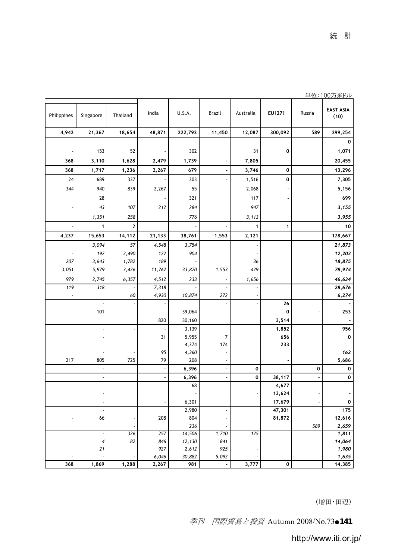|             |                          |                |            |                  |              |              |              | ≕ ע    | .100717177               |
|-------------|--------------------------|----------------|------------|------------------|--------------|--------------|--------------|--------|--------------------------|
| Philippines | Singapore                | Thailand       | India      | U.S.A.           | Brazil       | Australia    | EU(27)       | Russia | <b>EAST ASIA</b><br>(10) |
| 4,942       | 21,367                   | 18,654         | 48,871     | 222,792          | 11,450       | 12,087       | 300,092      | 589    | 299,254                  |
|             |                          |                |            |                  |              |              |              |        | $\mathbf 0$              |
|             | 153                      | 52             |            | 302              |              | 31           | 0            |        | 1,071                    |
| 368         | 3,110                    | 1,628          | 2,479      | 1,739            |              | 7,805        |              |        | 20,455                   |
| 368         | 1,717                    | 1,236          | 2,267      | 679              |              | 3,746        | 0            |        | 13,296                   |
| 24          | 689                      | 337            |            | 303              |              | 1,516        | O            |        | 7,305                    |
| 344         | 940                      | 839            |            |                  |              |              |              |        |                          |
|             |                          |                | 2,267      | 55               |              | 2,068        |              |        | 5,156                    |
|             | 28                       |                |            | 321              |              | 117          |              |        | 699                      |
| ä,          | 43                       | 107            | 212        | 284              |              | 947          |              |        | 3,155                    |
|             | 1,351                    | 258            |            | 776              |              | 3,113        |              |        | 3,955                    |
|             | $\mathbf{1}$             | $\overline{2}$ |            |                  |              | $\mathbf{1}$ | 1            |        | 10                       |
| 4,237       | 15,653                   | 14,112         | 21,133     | 38,761           | 1,553        | 2,121        |              |        | 178,667                  |
|             | 3,094                    | 57             | 4,548      | 3,754            |              |              |              |        | 21,873                   |
|             | 192                      | 2,490          | 122        | 904              |              |              |              |        | 12,202                   |
| 207         | 3,643                    | 1,782          | 189        |                  |              | 36           |              |        | 18,875                   |
| 3,051       | 5,979                    | 3,426          | 11,762     | 33,870           | 1,553        | 429          |              |        | 78,974                   |
| 979         | 2,745                    | 6,357          | 4,512      | 233              |              | 1,656        |              |        | 46,634                   |
| 119         | 318                      |                | 7,318      |                  |              |              |              |        | 28,676                   |
|             |                          | 60             | 4,930      | 10,874           | 272          |              |              |        | 6,274                    |
|             | $\overline{\phantom{a}}$ |                |            |                  |              |              | 26           |        |                          |
|             | 101                      |                |            | 39,064           |              |              | $\mathbf 0$  |        | 253                      |
|             |                          |                | 820        | 30,160           |              |              | 3,514        |        |                          |
|             |                          |                | 31         | 3,139<br>5,955   | 7            |              | 1,852<br>656 |        | 956<br>0                 |
|             |                          |                |            | 4,374            | 174          |              | 233          |        |                          |
|             |                          |                | 95         | 4,360            |              |              |              |        | 162                      |
| 217         | 805                      | 725            | 79         | 208              |              |              |              |        | 5,686                    |
|             | i,                       |                |            | 6,396            |              | 0            |              | 0      | 0                        |
|             | $\blacksquare$           |                | ł,         | 6,396            | ÷,           | 0            | 38,117       | ä,     | $\mathbf 0$              |
|             |                          |                |            | 68               |              |              | 4,677        |        |                          |
|             |                          |                |            |                  |              |              | 13,624       |        |                          |
|             |                          |                |            | 6,301            |              |              | 17,679       |        | 0                        |
|             |                          |                |            | 2,980            |              |              | 47,301       |        | 175                      |
|             | 66                       |                | 208        | 804              |              |              | 81,872       |        | 12,616                   |
|             | ÷.                       |                |            | 236              |              |              |              | 589    | 2,659                    |
|             | 4                        | 326<br>82      | 257<br>846 | 14,506<br>12,130 | 1,710<br>841 | 125          |              |        | 1,811<br>14,064          |
|             | 21                       |                | 927        | 2,612            | 925          |              |              |        | 1,980                    |
|             |                          |                | 6,046      | 30,882           | 5,092        |              |              |        | 1,635                    |
| 368         | 1,869                    | 1,288          | 2,267      | 981              |              | 3,777        | 0            |        | 14,385                   |

単位:100万米ドル

(増田・田辺)

季刊 国際貿易と投資 Autumn 2008/No.73●141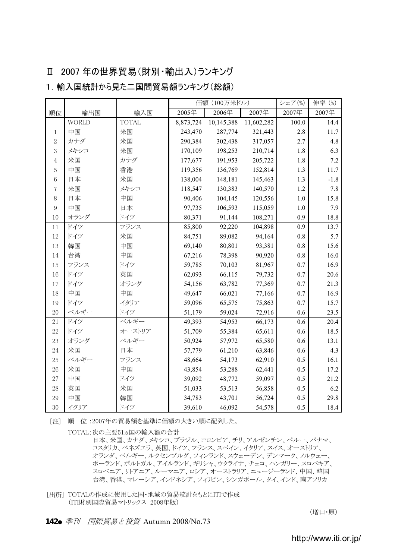#### Ⅱ 2007 年の世界貿易(財別・輸出入)ランキング

|                |              |              |           | 価額 (100万米ドル) |            | シェア(%) | 伸率 (%) |
|----------------|--------------|--------------|-----------|--------------|------------|--------|--------|
| 順位             | 輸出国          | 輸入国          | 2005年     | 2006年        | 2007年      | 2007年  | 2007年  |
|                | <b>WORLD</b> | <b>TOTAL</b> | 8,873,724 | 10,145,388   | 11,602,282 | 100.0  | 14.4   |
| 1              | 中国           | 米国           | 243,470   | 287,774      | 321,443    | 2.8    | 11.7   |
| $\overline{2}$ | カナダ          | 米国           | 290,384   | 302,438      | 317,057    | 2.7    | 4.8    |
| 3              | メキシコ         | 米国           | 170,109   | 198,253      | 210,714    | 1.8    | 6.3    |
| $\overline{4}$ | 米国           | カナダ          | 177,677   | 191,953      | 205,722    | 1.8    | 7.2    |
| 5              | 中国           | 香港           | 119,356   | 136,769      | 152,814    | 1.3    | 11.7   |
| 6              | 日本           | 米国           | 138,004   | 148,181      | 145,463    | 1.3    | $-1.8$ |
| 7              | 米国           | メキシコ         | 118,547   | 130,383      | 140,570    | 1.2    | 7.8    |
| 8              | 日本           | 中国           | 90,406    | 104,145      | 120,556    | 1.0    | 15.8   |
| 9              | 中国           | 日本           | 97,735    | 106,593      | 115,059    | 1.0    | 7.9    |
| 10             | オランダ         | ドイツ          | 80,371    | 91,144       | 108,271    | 0.9    | 18.8   |
| 11             | ドイツ          | フランス         | 85,800    | 92,220       | 104,898    | 0.9    | 13.7   |
| 12             | ドイツ          | 米国           | 84,751    | 89,082       | 94,164     | 0.8    | 5.7    |
| 13             | 韓国           | 中国           | 69,140    | 80,801       | 93,381     | 0.8    | 15.6   |
| 14             | 台湾           | 中国           | 67,216    | 78,398       | 90,920     | 0.8    | 16.0   |
| 15             | フランス         | ドイツ          | 59,785    | 70,103       | 81,967     | 0.7    | 16.9   |
| 16             | ドイツ          | 英国           | 62,093    | 66,115       | 79,732     | 0.7    | 20.6   |
| 17             | ドイツ          | オランダ         | 54,156    | 63,782       | 77,369     | 0.7    | 21.3   |
| 18             | 中国           | 中国           | 49,647    | 66,021       | 77,166     | 0.7    | 16.9   |
| 19             | ドイツ          | イタリア         | 59,096    | 65,575       | 75,863     | 0.7    | 15.7   |
| 20             | ベルギー         | ドイツ          | 51,179    | 59,024       | 72,916     | 0.6    | 23.5   |
| 21             | ドイツ          | ベルギー         | 49,393    | 54,953       | 66,173     | 0.6    | 20.4   |
| 22             | ドイツ          | オーストリア       | 51,709    | 55,384       | 65,611     | 0.6    | 18.5   |
| 23             | オランダ         | ベルギー         | 50,924    | 57,972       | 65,580     | 0.6    | 13.1   |
| 24             | 米国           | 日本           | 57,779    | 61,210       | 63,846     | 0.6    | 4.3    |
| 25             | ベルギー         | フランス         | 48,664    | 54,173       | 62,910     | 0.5    | 16.1   |
| 26             | 米国           | 中国           | 43,854    | 53,288       | 62,441     | 0.5    | 17.2   |
| 27             | 中国           | ドイツ          | 39,092    | 48,772       | 59,097     | 0.5    | 21.2   |
| 28             | 英国           | 米国           | 51,033    | 53,513       | 56,858     | 0.5    | 6.2    |
| 29             | 中国           | 韓国           | 34,783    | 43,701       | 56,724     | 0.5    | 29.8   |
| 30             | イタリア         | ドイツ          | 39,610    | 46,092       | 54,578     | 0.5    | 18.4   |

1. 輸入国統計から見た二国間留易額ランキング(総額)

[注] 順 位 :2007年の貿易額を基準に価額の大きい順に配列した。

TOTAL:次の主要51ヵ国の輸入額の合計

 台湾、香港、マレーシア、インドネシア、フィリピン、シンガポール、タイ、インド、南アフリカ スロベニア、リトアニア、ルーマニア、ロシア、オーストラリア、ニュージーランド、中国、韓国 日本、米国、カナダ、メキシコ、ブラジル、コロンビア、チリ、アルゼンチン、ペルー、パナマ、 コスタリカ、ベネズエラ、英国、ドイツ、フランス、スペイン、イタリア、スイス、オーストリア、 オランダ、ベルギー、ルクセンブルグ、フィンランド、スウェーデン、デンマーク、ノルウェー、 ポーランド、ポルトガル、アイルランド、ギリシャ、ウクライナ、チェコ、ハンガリー、スロバキア、

(増田・原)

<sup>[</sup>出所] TOTALの作成に使用した国・地域の貿易統計をもとにITIで作成 (ITI財別国際貿易マトリックス 2008年版)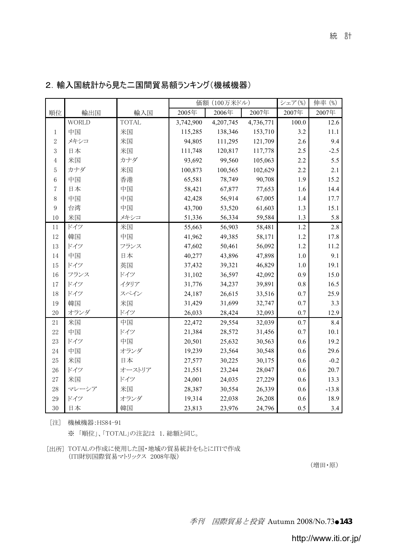|                  |              |              | 価額 (100万米ドル) |           |           | シェア(%) | 伸率 (%)  |
|------------------|--------------|--------------|--------------|-----------|-----------|--------|---------|
| 順位               | 輸出国          | 輸入国          | 2005年        | 2006年     | 2007年     | 2007年  | 2007年   |
|                  | <b>WORLD</b> | <b>TOTAL</b> | 3,742,900    | 4,207,745 | 4,736,771 | 100.0  | 12.6    |
| 1                | 中国           | 米国           | 115,285      | 138,346   | 153,710   | 3.2    | 11.1    |
| $\boldsymbol{2}$ | メキシコ         | 米国           | 94,805       | 111,295   | 121,709   | 2.6    | 9.4     |
| 3                | 日本           | 米国           | 111,748      | 120,817   | 117,778   | 2.5    | $-2.5$  |
| $\overline{4}$   | 米国           | カナダ          | 93,692       | 99,560    | 105,063   | 2.2    | 5.5     |
| 5                | カナダ          | 米国           | 100,873      | 100,565   | 102,629   | 2.2    | 2.1     |
| 6                | 中国           | 香港           | 65,581       | 78,749    | 90,708    | 1.9    | 15.2    |
| 7                | 日本           | 中国           | 58,421       | 67,877    | 77,653    | 1.6    | 14.4    |
| 8                | 中国           | 中国           | 42,428       | 56,914    | 67,005    | 1.4    | 17.7    |
| 9                | 台湾           | 中国           | 43,700       | 53,520    | 61,603    | 1.3    | 15.1    |
| 10               | 米国           | メキシコ         | 51,336       | 56,334    | 59,584    | 1.3    | 5.8     |
| 11               | ドイツ          | 米国           | 55,663       | 56,903    | 58,481    | 1.2    | 2.8     |
| 12               | 韓国           | 中国           | 41,962       | 49,385    | 58,171    | 1.2    | 17.8    |
| 13               | ドイツ          | フランス         | 47,602       | 50,461    | 56,092    | 1.2    | 11.2    |
| 14               | 中国           | 日本           | 40,277       | 43,896    | 47,898    | 1.0    | 9.1     |
| 15               | ドイツ          | 英国           | 37,432       | 39,321    | 46,829    | 1.0    | 19.1    |
| 16               | フランス         | ドイツ          | 31,102       | 36,597    | 42,092    | 0.9    | 15.0    |
| 17               | ドイツ          | イタリア         | 31,776       | 34,237    | 39,891    | 0.8    | 16.5    |
| 18               | ドイツ          | スペイン         | 24,187       | 26,615    | 33,516    | 0.7    | 25.9    |
| 19               | 韓国           | 米国           | 31,429       | 31,699    | 32,747    | 0.7    | 3.3     |
| 20               | オランダ         | ドイツ          | 26,033       | 28,424    | 32,093    | 0.7    | 12.9    |
| 21               | 米国           | 中国           | 22,472       | 29,554    | 32,039    | 0.7    | 8.4     |
| 22               | 中国           | ドイツ          | 21,384       | 28,572    | 31,456    | 0.7    | 10.1    |
| 23               | ドイツ          | 中国           | 20,501       | 25,632    | 30,563    | 0.6    | 19.2    |
| 24               | 中国           | オランダ         | 19,239       | 23,564    | 30,548    | 0.6    | 29.6    |
| 25               | 米国           | 日本           | 27,577       | 30,225    | 30,175    | 0.6    | $-0.2$  |
| 26               | ドイツ          | オーストリア       | 21,551       | 23,244    | 28,047    | 0.6    | 20.7    |
| 27               | 米国           | ドイツ          | 24,001       | 24,035    | 27,229    | 0.6    | 13.3    |
| 28               | マレーシア        | 米国           | 28,387       | 30,554    | 26,339    | 0.6    | $-13.8$ |
| 29               | ドイツ          | オランダ         | 19,314       | 22,038    | 26,208    | 0.6    | 18.9    |
| 30               | 日本           | 韓国           | 23,813       | 23,976    | 24,796    | 0.5    | 3.4     |

2. 輸入国統計から見た二国間貿易額ランキング(機械機器)

[注] 機械機器:HS84-91

※ 「順位」、「TOTAL」の注記は 1. 総額と同じ。

[出所] TOTALの作成に使用した国・地域の貿易統計をもとにITIで作成 (ITI財別国際貿易マトリックス 2008年版)

(増田・原)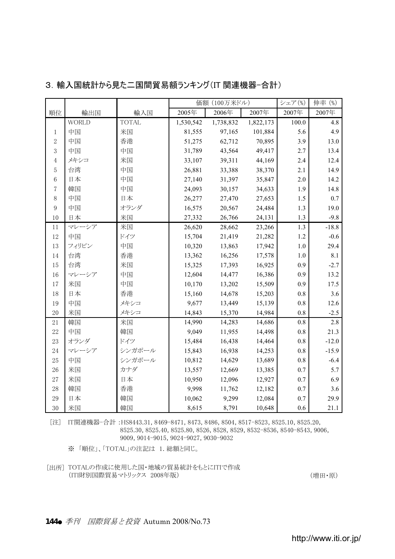|                |              |              | 価額 (100万米ドル) |           |           | シェア(%) | 伸率 (%)  |
|----------------|--------------|--------------|--------------|-----------|-----------|--------|---------|
| 順位             | 輸出国          | 輸入国          | 2005年        | 2006年     | 2007年     | 2007年  | 2007年   |
|                | <b>WORLD</b> | <b>TOTAL</b> | 1,530,542    | 1,738,832 | 1,822,173 | 100.0  | 4.8     |
| $\mathbf{1}$   | 中国           | 米国           | 81,555       | 97,165    | 101,884   | 5.6    | 4.9     |
| $\overline{2}$ | 中国           | 香港           | 51,275       | 62,712    | 70,895    | 3.9    | 13.0    |
| 3              | 中国           | 中国           | 31,789       | 43,564    | 49,417    | 2.7    | 13.4    |
| 4              | メキシコ         | 米国           | 33,107       | 39,311    | 44,169    | 2.4    | 12.4    |
| 5              | 台湾           | 中国           | 26,881       | 33,388    | 38,370    | 2.1    | 14.9    |
| 6              | 日本           | 中国           | 27,140       | 31,397    | 35,847    | 2.0    | 14.2    |
| $\overline{7}$ | 韓国           | 中国           | 24,093       | 30,157    | 34,633    | 1.9    | 14.8    |
| 8              | 中国           | 日本           | 26,277       | 27,470    | 27,653    | 1.5    | 0.7     |
| 9              | 中国           | オランダ         | 16,575       | 20,567    | 24,484    | 1.3    | 19.0    |
| 10             | 日本           | 米国           | 27,332       | 26,766    | 24,131    | 1.3    | $-9.8$  |
| 11             | マレーシア        | 米国           | 26,620       | 28,662    | 23,266    | 1.3    | $-18.8$ |
| 12             | 中国           | ドイツ          | 15,704       | 21,419    | 21,282    | 1.2    | $-0.6$  |
| 13             | フィリピン        | 中国           | 10,320       | 13,863    | 17,942    | 1.0    | 29.4    |
| 14             | 台湾           | 香港           | 13,362       | 16,256    | 17,578    | 1.0    | 8.1     |
| 15             | 台湾           | 米国           | 15,325       | 17,393    | 16,925    | 0.9    | $-2.7$  |
| 16             | マレーシア        | 中国           | 12,604       | 14,477    | 16,386    | 0.9    | 13.2    |
| 17             | 米国           | 中国           | 10,170       | 13,202    | 15,509    | 0.9    | 17.5    |
| 18             | 日本           | 香港           | 15,160       | 14,678    | 15,203    | 0.8    | 3.6     |
| 19             | 中国           | メキシコ         | 9,677        | 13,449    | 15,139    | 0.8    | 12.6    |
| 20             | 米国           | メキシコ         | 14,843       | 15,370    | 14,984    | 0.8    | $-2.5$  |
| 21             | 韓国           | 米国           | 14,990       | 14,283    | 14,686    | 0.8    | 2.8     |
| 22             | 中国           | 韓国           | 9,049        | 11,955    | 14,498    | 0.8    | 21.3    |
| 23             | オランダ         | ドイツ          | 15,484       | 16,438    | 14,464    | 0.8    | $-12.0$ |
| 24             | マレーシア        | シンガポール       | 15,843       | 16,938    | 14,253    | 0.8    | $-15.9$ |
| 25             | 中国           | シンガポール       | 10,812       | 14,629    | 13,689    | 0.8    | $-6.4$  |
| 26             | 米国           | カナダ          | 13,557       | 12,669    | 13,385    | 0.7    | 5.7     |
| 27             | 米国           | 日本           | 10,950       | 12,096    | 12,927    | 0.7    | 6.9     |
| 28             | 韓国           | 香港           | 9,998        | 11,762    | 12,182    | 0.7    | 3.6     |
| 29             | 日本           | 韓国           | 10,062       | 9,299     | 12,084    | 0.7    | 29.9    |
| 30             | 米国           | 韓国           | 8,615        | 8,791     | 10,648    | 0.6    | 21.1    |

#### 3.輸入国統計から見た二国間貿易額ランキング(IT 関連機器-合計)

[注] IT関連機器-合計 :HS8443.31, 8469-8471, 8473, 8486, 8504, 8517-8523, 8525.10, 8525.20, 8525.30, 8525.40, 8525.80, 8526, 8528, 8529, 8532-8536, 8540-8543, 9006, 9009, 9014-9015, 9024-9027, 9030-9032

※ 「順位」、「TOTAL」の注記は 1. 総額と同じ。

[出所] TOTALの作成に使用した国・地域の貿易統計をもとにITIで作成 (ITI財別国際貿易マトリックス 2008年版) または インタン (増田・原) (増田・原)